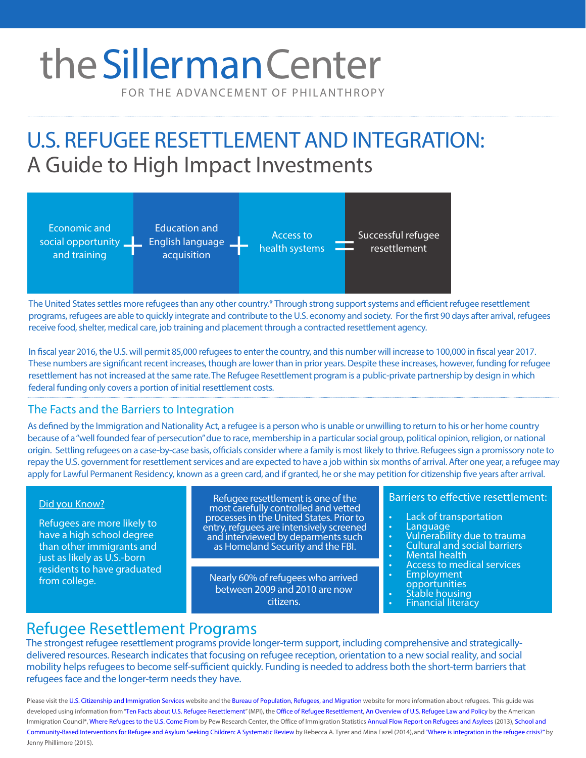# the Sillerman Center

FOR THE ADVANCEMENT OF PHILANTHROPY

# U.S. REFUGEE RESETTLEMENT AND INTEGRATION: A Guide to High Impact Investments



The United States settles more refugees than any other country.\* Through strong support systems and efficient refugee resettlement programs, refugees are able to quickly integrate and contribute to the U.S. economy and society. For the first 90 days after arrival, refugees receive food, shelter, medical care, job training and placement through a contracted resettlement agency.

In fiscal year 2016, the U.S. will permit 85,000 refugees to enter the country, and this number will increase to 100,000 in fiscal year 2017. These numbers are significant recent increases, though are lower than in prior years. Despite these increases, however, funding for refugee resettlement has not increased at the same rate. The Refugee Resettlement program is a public-private partnership by design in which federal funding only covers a portion of initial resettlement costs.

#### The Facts and the Barriers to Integration

As defined by the Immigration and Nationality Act, a refugee is a person who is unable or unwilling to return to his or her home country because of a "well founded fear of persecution" due to race, membership in a particular social group, political opinion, religion, or national origin. Settling refugees on a case-by-case basis, officials consider where a family is most likely to thrive. Refugees sign a promissory note to repay the U.S. government for resettlement services and are expected to have a job within six months of arrival. After one year, a refugee may apply for Lawful Permanent Residency, known as a green card, and if granted, he or she may petition for citizenship five years after arrival.

#### Did you Know?

Refugees are more likely to have a high school degree than other immigrants and just as likely as U.S.-born residents to have graduated from college.

Refugee resettlement is one of the most carefully controlled and vetted processes in the United States. Prior to entry, refguees are intensively screened and interviewed by deparments such as Homeland Security and the FBI.

Nearly 60% of refugees who arrived between 2009 and 2010 are now citizens.

#### Barriers to effective resettlement:

- 
- 
- 
- 
- 
- Lack of transportation Language Vulnerability due to trauma Cultural and social barriers Mental health Access to medical services Employment
- 
- 
- Stable housing<br>• Financial literacy
- 

### Refugee Resettlement Programs

The strongest refugee resettlement programs provide longer-term support, including comprehensive and strategicallydelivered resources. Research indicates that focusing on refugee reception, orientation to a new social reality, and social mobility helps refugees to become self-sufficient quickly. Funding is needed to address both the short-term barriers that refugees face and the longer-term needs they have.

Please visit the [U.S. Citizenship and Immigration Services](https://www.uscis.gov/) website and the [Bureau of Population, Refugees, and Migration](http://www.state.gov/j/prm/) website for more information about refugees. This guide was developed using information from "[Ten Facts about U.S. Refugee Resettlement](http://www.migrationpolicy.org/research/ten-facts-about-us-refugee-resettlement)" (MPI), th[e Office of Refugee Resettlement](http://www.acf.hhs.gov/programs/orr), [An Overview of U.S. Refugee Law and Policy](http://www.immigrationpolicy.org/sites/default/files/docs/an_overview_of_u.s._refugee_law_and_policy.pdf) by the American Immigration Council\*, [Where Refugees to the U.S. Come From](http://www.pewresearch.org/fact-tank/2014/07/28/where-refugees-to-the-u-s-come-from/) by Pew Research Center, the Office of Immigration Statistics [Annual Flow Report on Refugees and Asylees](https://www.dhs.gov/sites/default/files/publications/ois_rfa_fr_2013.pdf) (2013), [School and](http://journals.plos.org/plosone/article?id=10.1371/journal.pone.0089359) [Community-Based Interventions for Refugee and Asylum Seeking Children: A Systematic Review](http://journals.plos.org/plosone/article?id=10.1371/journal.pone.0089359) by Rebecca A. Tyrer and Mina Fazel (2014), and ["Where is integration in the refugee crisis?" b](http://blogs.lse.ac.uk/politicsandpolicy/where-is-integration-in-the-refugee-crisis/)y Jenny Phillimore (2015).